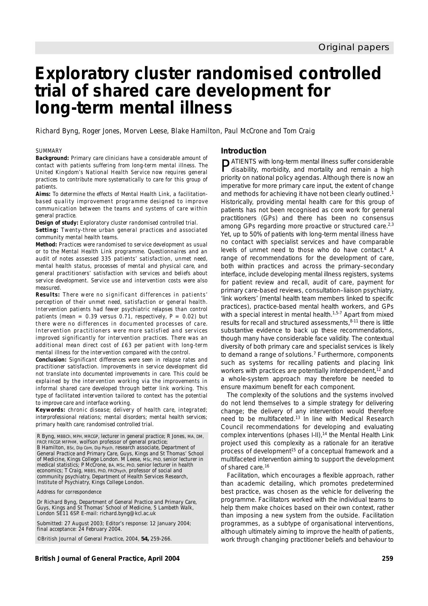# **Exploratory cluster randomised controlled trial of shared care development for long-term mental illness**

Richard Byng, Roger Jones, Morven Leese, Blake Hamilton, Paul McCrone and Tom Craig

#### *SUMMARY*

*Background: Primary care clinicians have a considerable amount of contact with patients suffering from long-term mental illness. The United Kingdom's National Health Service now requires general practices to contribute more systematically to care for this group of patients.*

*Aims: To determine the effects of Mental Health Link, a facilitationbased quality improvement programme designed to improve communication between the teams and systems of care within general practice.*

*Design of study: Exploratory cluster randomised controlled trial. Setting: Twenty-three urban general practices and associated community mental health teams.*

*Method: Practices were randomised to service development as usual or to the Mental Health Link programme. Questionnaires and an audit of notes assessed 335 patients' satisfaction, unmet need, mental health status, processes of mental and physical care, and general practitioners' satisfaction with services and beliefs about service development. Service use and intervention costs were also measured.*

*Results: There were no significant differences in patients' perception of their unmet need, satisfaction or general health. Intervention patients had fewer psychiatric relapses than control patients (mean =*  $0.39$  *versus 0.71, respectively, P = 0.02) but there were no differences in documented processes of care. Intervention practitioners were more satisfied and services improved significantly for intervention practices. There was an additional mean direct cost of £63 per patient with long-term mental illness for the intervention compared with the control.*

*Conclusion: Significant differences were seen in relapse rates and practitioner satisfaction. Improvements in service development did not translate into documented improvements in care. This could be explained by the intervention working via the improvements in informal shared care developed through better link working. This type of facilitated intervention tailored to context has the potential to improve care and interface working.*

*Keywords: chronic disease; delivery of health care, integrated; interprofessional relations; mental disorders; mental health services; primary health care; randomised controlled trial.*

R Byng, MBBCh, MPH, MRCGP, lecturer in general practice; R Jones, MA, DM, FRCP, FRCGP, MFPHM, wolfson professor of general practice; B Hamilton, BSc, Dip Com, Dip Psych, research associate, Department of General Practice and Primary Care, Guys, Kings and St Thomas' School of Medicine, Kings College London. M Leese, MSc, PhD, senior lecturer in medical statistics; P McCrone, BA, MSc, PhD, senior lecturer in health economics; T Craig, MBBS, PhD, FRCPsych, professor of social and community psychiatry, Department of Health Services Research, Institute of Psychiatry, Kings College London.

*Address for correspondence*

Dr Richard Byng, Department of General Practice and Primary Care, Guys, Kings and St Thomas' School of Medicine, 5 Lambeth Walk, London SE11 6SP. E-mail: richard.byng@kcl.ac.uk

Submitted: 27 August 2003; Editor's response: 12 January 2004; final acceptance: 24 February 2004.

©*British Journal of General Practice*, 2004, **54,** 259-266.

#### **Introduction**

PATIENTS with long-term mental illness suffer considerable disability, morbidity, and mortality and remain a high priority on national policy agendas. Although there is now an imperative for more primary care input, the extent of change and methods for achieving it have not been clearly outlined.<sup>1</sup> Historically, providing mental health care for this group of patients has not been recognised as core work for general practitioners (GPs) and there has been no consensus among GPs regarding more proactive or structured care.<sup>2,3</sup> Yet, up to 50% of patients with long-term mental illness have no contact with specialist services and have comparable levels of unmet need to those who do have contact.4 A range of recommendations for the development of care, both within practices and across the primary–secondary interface, include developing mental illness registers, systems for patient review and recall, audit of care, payment for primary care-based reviews, consultation–liaison psychiatry, 'link workers' (mental health team members linked to specific practices), practice-based mental health workers, and GPs with a special interest in mental health. $1.5-7$  Apart from mixed results for recall and structured assessments, 8-11 there is little substantive evidence to back up these recommendations, though many have considerable face validity. The contextual diversity of both primary care and specialist services is likely to demand a range of solutions.<sup>7</sup> Furthermore, components such as systems for recalling patients and placing link workers with practices are potentially interdependent,<sup>12</sup> and a whole-system approach may therefore be needed to ensure maximum benefit for each component.

The complexity of the solutions and the systems involved do not lend themselves to a simple strategy for delivering change; the delivery of any intervention would therefore need to be multifaceted.13 In line with Medical Research Council recommendations for developing and evaluating complex interventions (phases I-II),<sup>14</sup> the Mental Health Link project used this complexity as a rationale for an iterative process of development<sup>15</sup> of a conceptual framework and a multifaceted intervention aiming to support the development of shared care.16

Facilitation, which encourages a flexible approach, rather than academic detailing, which promotes predetermined best practice, was chosen as the vehicle for delivering the programme. Facilitators worked with the individual teams to help them make choices based on their own context, rather than imposing a new system from the outside. Facilitation programmes, as a subtype of organisational interventions, although ultimately aiming to improve the health of patients, work through changing practitioner beliefs and behaviour to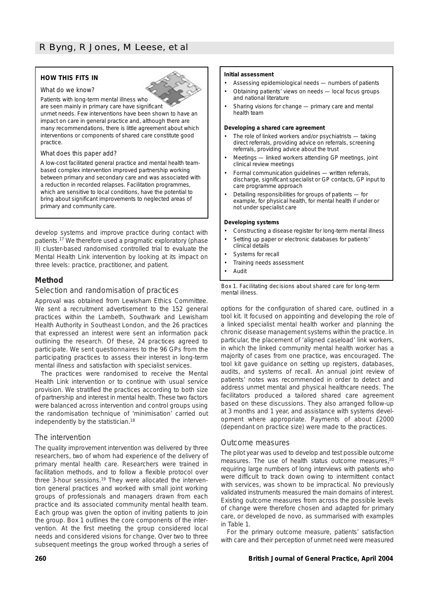# **HOW THIS FITS IN**





Patients with long-term mental illness who are seen mainly in primary care have significant

unmet needs. Few interventions have been shown to have an impact on care in general practice and, although there are many recommendations, there is little agreement about which interventions or components of shared care constitute good practice.

#### *What does this paper add?*

A low-cost facilitated general practice and mental health teambased complex intervention improved partnership working between primary and secondary care and was associated with a reduction in recorded relapses. Facilitation programmes, which are sensitive to local conditions, have the potential to bring about significant improvements to neglected areas of primary and community care.

develop systems and improve practice during contact with patients.17 We therefore used a pragmatic exploratory (phase II) cluster-based randomised controlled trial to evaluate the Mental Health Link intervention by looking at its impact on three levels: practice, practitioner, and patient.

# **Method**

# *Selection and randomisation of practices*

Approval was obtained from Lewisham Ethics Committee. We sent a recruitment advertisement to the 152 general practices within the Lambeth, Southwark and Lewisham Health Authority in Southeast London, and the 26 practices that expressed an interest were sent an information pack outlining the research. Of these, 24 practices agreed to participate. We sent questionnaires to the 96 GPs from the participating practices to assess their interest in long-term mental illness and satisfaction with specialist services.

The practices were randomised to receive the Mental Health Link intervention or to continue with usual service provision. We stratified the practices according to both size of partnership and interest in mental health. These two factors were balanced across intervention and control groups using the randomisation technique of 'minimisation' carried out independently by the statistician.18

# *The intervention*

The quality improvement intervention was delivered by three researchers, two of whom had experience of the delivery of primary mental health care. Researchers were trained in facilitation methods, and to follow a flexible protocol over three 3-hour sessions.19 They were allocated the intervention general practices and worked with small joint working groups of professionals and managers drawn from each practice and its associated community mental health team. Each group was given the option of inviting patients to join the group. Box 1 outlines the core components of the intervention. At the first meeting the group considered local needs and considered visions for change. Over two to three subsequent meetings the group worked through a series of

#### **Initial assessment**

- Assessing epidemiological needs numbers of patients
- Obtaining patients' views on needs local focus groups and national literature
- Sharing visions for change primary care and mental health team

#### **Developing a shared care agreement**

- The role of linked workers and/or psychiatrists taking direct referrals, providing advice on referrals, screening referrals, providing advice about the trust
- Meetings linked workers attending GP meetings, joint clinical review meetings
- Formal communication guidelines written referrals, discharge, significant specialist or GP contacts, GP input to care programme approach
- Detailing responsibilities for groups of patients for example, for physical health, for mental health if under or not under specialist care

#### **Developing systems**

- Constructing a disease register for long-term mental illness
- Setting up paper or electronic databases for patients' clinical details
- Systems for recall • Training needs assessment
- Audit

*Box 1. Facilitating decisions about shared care for long-term mental illness.* 

options for the configuration of shared care, outlined in a tool kit. It focused on appointing and developing the role of a linked specialist mental health worker and planning the chronic disease management systems within the practice. In particular, the placement of 'aligned caseload' link workers, in which the linked community mental health worker has a majority of cases from one practice, was encouraged. The tool kit gave guidance on setting up registers, databases, audits, and systems of recall. An annual joint review of patients' notes was recommended in order to detect and address unmet mental and physical healthcare needs. The facilitators produced a tailored shared care agreement based on these discussions. They also arranged follow-up at 3 months and 1 year, and assistance with systems development where appropriate. Payments of about £2000 (dependant on practice size) were made to the practices.

# *Outcome measures*

The pilot year was used to develop and test possible outcome measures. The use of health status outcome measures,<sup>20</sup> requiring large numbers of long interviews with patients who were difficult to track down owing to intermittent contact with services, was shown to be impractical. No previously validated instruments measured the main domains of interest. Existing outcome measures from across the possible levels of change were therefore chosen and adapted for primary care, or developed *de novo*, as summarised with examples in Table 1.

For the primary outcome measure, patients' satisfaction with care and their perception of unmet need were measured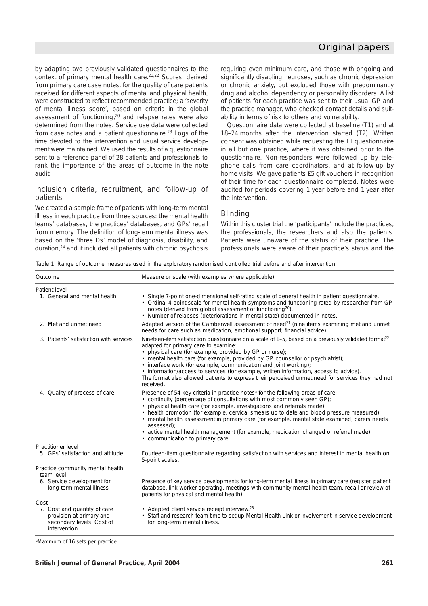by adapting two previously validated questionnaires to the context of primary mental health care.<sup>21,22</sup> Scores, derived from primary care case notes, for the quality of care patients received for different aspects of mental and physical health, were constructed to reflect recommended practice; a 'severity of mental illness score', based on criteria in the global assessment of functioning,<sup>20</sup> and relapse rates were also determined from the notes. Service use data were collected from case notes and a patient questionnaire.23 Logs of the time devoted to the intervention and usual service development were maintained. We used the results of a questionnaire sent to a reference panel of 28 patients and professionals to rank the importance of the areas of outcome in the note audit.

# *Inclusion criteria, recruitment, and follow-up of patients*

We created a sample frame of patients with long-term mental illness in each practice from three sources: the mental health teams' databases, the practices' databases, and GPs' recall from memory. The definition of long-term mental illness was based on the 'three Ds' model of diagnosis, disability, and duration,24 and it included all patients with chronic psychosis requiring even minimum care, and those with ongoing and significantly disabling neuroses, such as chronic depression or chronic anxiety, but excluded those with predominantly drug and alcohol dependency or personality disorders. A list of patients for each practice was sent to their usual GP and the practice manager, who checked contact details and suitability in terms of risk to others and vulnerability.

Questionnaire data were collected at baseline (T1) and at 18–24 months after the intervention started (T2). Written consent was obtained while requesting the T1 questionnaire in all but one practice, where it was obtained prior to the questionnaire. Non-responders were followed up by telephone calls from care coordinators, and at follow-up by home visits. We gave patients £5 gift vouchers in recognition of their time for each questionnaire completed. Notes were audited for periods covering 1 year before and 1 year after the intervention.

# *Blinding*

Within this cluster trial the 'participants' include the practices, the professionals, the researchers and also the patients. Patients were unaware of the status of their practice. The professionals were aware of their practice's status and the

*Table 1. Range of outcome measures used in the exploratory randomised controlled trial before and after intervention.*

| Outcome                                                                                                | Measure or scale (with examples where applicable)                                                                                                                                                                                                                                                                                                                                                                                                                                                                                                                                         |
|--------------------------------------------------------------------------------------------------------|-------------------------------------------------------------------------------------------------------------------------------------------------------------------------------------------------------------------------------------------------------------------------------------------------------------------------------------------------------------------------------------------------------------------------------------------------------------------------------------------------------------------------------------------------------------------------------------------|
| Patient level                                                                                          |                                                                                                                                                                                                                                                                                                                                                                                                                                                                                                                                                                                           |
| 1. General and mental health                                                                           | • Single 7-point one-dimensional self-rating scale of general health in patient questionnaire.<br>• Ordinal 4-point scale for mental health symptoms and functioning rated by researcher from GP<br>notes (derived from global assessment of functioning <sup>20</sup> ).<br>• Number of relapses (deteriorations in mental state) documented in notes.                                                                                                                                                                                                                                   |
| 2. Met and unmet need                                                                                  | Adapted version of the Camberwell assessment of need <sup>21</sup> (nine items examining met and unmet<br>needs for care such as medication, emotional support, financial advice).                                                                                                                                                                                                                                                                                                                                                                                                        |
| 3. Patients' satisfaction with services                                                                | Nineteen-item satisfaction questionnaire on a scale of 1-5, based on a previously validated format <sup>22</sup><br>adapted for primary care to examine:<br>• physical care (for example, provided by GP or nurse);<br>• mental health care (for example, provided by GP, counsellor or psychiatrist);<br>• interface work (for example, communication and joint working);<br>• information/access to services (for example, written information, access to advice).<br>The format also allowed patients to express their perceived unmet need for services they had not<br>received.     |
| 4. Quality of process of care                                                                          | Presence of 54 key criteria in practice notes <sup>a</sup> for the following areas of care:<br>• continuity (percentage of consultations with most commonly seen GP);<br>• physical health care (for example, investigations and referrals made);<br>• health promotion (for example, cervical smears up to date and blood pressure measured);<br>• mental health assessment in primary care (for example, mental state examined, carers needs<br>assessed);<br>• active mental health management (for example, medication changed or referral made);<br>• communication to primary care. |
| Practitioner level                                                                                     |                                                                                                                                                                                                                                                                                                                                                                                                                                                                                                                                                                                           |
| 5. GPs' satisfaction and attitude                                                                      | Fourteen-item questionnaire regarding satisfaction with services and interest in mental health on<br>5-point scales.                                                                                                                                                                                                                                                                                                                                                                                                                                                                      |
| Practice community mental health<br>team level                                                         |                                                                                                                                                                                                                                                                                                                                                                                                                                                                                                                                                                                           |
| 6. Service development for<br>long-term mental illness                                                 | Presence of key service developments for long-term mental illness in primary care (register, patient<br>database, link worker operating, meetings with community mental health team, recall or review of<br>patients for physical and mental health).                                                                                                                                                                                                                                                                                                                                     |
| Cost                                                                                                   |                                                                                                                                                                                                                                                                                                                                                                                                                                                                                                                                                                                           |
| 7. Cost and quantity of care<br>provision at primary and<br>secondary levels. Cost of<br>intervention. | • Adapted client service receipt interview. <sup>23</sup><br>• Staff and research team time to set up Mental Health Link or involvement in service development<br>for long-term mental illness.                                                                                                                                                                                                                                                                                                                                                                                           |

aMaximum of 16 sets per practice.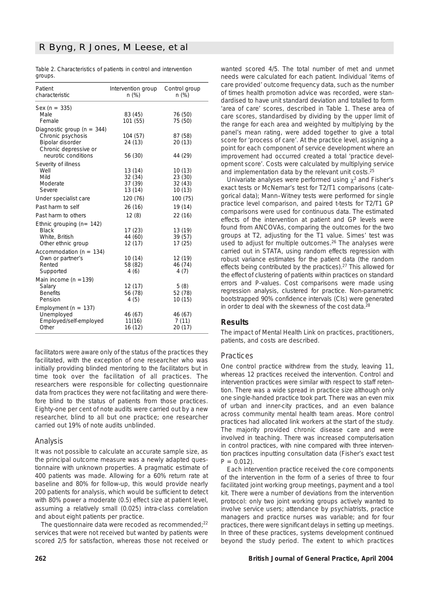|         | Table 2. Characteristics of patients in control and intervention |  |  |
|---------|------------------------------------------------------------------|--|--|
| groups. |                                                                  |  |  |

| Patient<br>characteristic                                                                                               | Intervention group<br>$n$ (%)            | Control group<br>$n (\%)$             |
|-------------------------------------------------------------------------------------------------------------------------|------------------------------------------|---------------------------------------|
| Sex ( $n = 335$ )<br>Male<br>Female                                                                                     | 83 (45)<br>101 (55)                      | 76 (50)<br>75 (50)                    |
| Diagnostic group ( $n = 344$ )<br>Chronic psychosis<br>Bipolar disorder<br>Chronic depressive or<br>neurotic conditions | 104 (57)<br>24 (13)<br>56 (30)           | 87 (58)<br>20(13)<br>44 (29)          |
| Severity of illness<br>Well<br>Mild<br>Moderate<br>Severe                                                               | 13 (14)<br>32 (34)<br>37 (39)<br>13 (14) | 10(13)<br>23 (30)<br>32(43)<br>10(13) |
| Under specialist care                                                                                                   | 120 (76)                                 | 100 (75)                              |
| Past harm to self                                                                                                       | 26 (16)                                  | 19 (14)                               |
| Past harm to others                                                                                                     | 12(8)                                    | 22 (16)                               |
| Ethnic grouping $(n=142)$<br><b>Black</b><br>White, British<br>Other ethnic group                                       | 17(23)<br>44 (60)<br>12 (17)             | 13 (19)<br>39 (57)<br>17(25)          |
| Accommodation ( $n = 134$ )<br>Own or partner's<br>Rented<br>Supported                                                  | 10(14)<br>58 (82)<br>4(6)                | 12 (19)<br>46 (74)<br>4(7)            |
| Main income ( $n = 139$ )<br>Salary<br><b>Benefits</b><br>Pension                                                       | 12 (17)<br>56 (78)<br>4(5)               | 5(8)<br>52 (78)<br>10 (15)            |
| Employment ( $n = 137$ )<br>Unemployed<br>Employed/self-employed<br>Other                                               | 46 (67)<br>11(16)<br>16 (12)             | 46 (67)<br>7(11)<br>20(17)            |

facilitators were aware only of the status of the practices they facilitated, with the exception of one researcher who was initially providing blinded mentoring to the facilitators but in time took over the facilitation of all practices. The researchers were responsible for collecting questionnaire data from practices they were not facilitating and were therefore blind to the status of patients from those practices. Eighty-one per cent of note audits were carried out by a new researcher, blind to all but one practice; one researcher carried out 19% of note audits unblinded.

# *Analysis*

It was not possible to calculate an accurate sample size, as the principal outcome measure was a newly adapted questionnaire with unknown properties. A pragmatic estimate of 400 patients was made. Allowing for a 60% return rate at baseline and 80% for follow-up, this would provide nearly 200 patients for analysis, which would be sufficient to detect with 80% power a moderate (0.5) effect size at patient level, assuming a relatively small (0.025) intra-class correlation and about eight patients per practice.

The questionnaire data were recoded as recommended;<sup>22</sup> services that were not received but wanted by patients were scored 2/5 for satisfaction, whereas those not received or wanted scored 4/5. The total number of met and unmet needs were calculated for each patient. Individual 'items of care provided' outcome frequency data, such as the number of times health promotion advice was recorded, were standardised to have unit standard deviation and totalled to form 'area of care' scores, described in Table 1. These area of care scores, standardised by dividing by the upper limit of the range for each area and weighted by multiplying by the panel's mean rating, were added together to give a total score for 'process of care'. At the practice level, assigning a point for each component of service development where an improvement had occurred created a total 'practice development score'. Costs were calculated by multiplying service and implementation data by the relevant unit costs.25

Univariate analyses were performed using  $\gamma^2$  and Fisher's exact tests or McNemar's test for T2/T1 comparisons (categorical data); Mann–Witney tests were performed for single practice level comparison, and paired *t*-tests for T2/T1 GP comparisons were used for continuous data. The estimated effects of the intervention at patient and GP levels were found from ANCOVAs, comparing the outcomes for the two groups at T2, adjusting for the T1 value. Simes' test was used to adjust for multiple outcomes.<sup>26</sup> The analyses were carried out in STATA, using random effects regression with robust variance estimates for the patient data (the random effects being contributed by the practices).27 This allowed for the effect of clustering of patients within practices on standard errors and *P*-values. Cost comparisons were made using regression analysis, clustered for practice. Non-parametric bootstrapped 90% confidence intervals (CIs) were generated in order to deal with the skewness of the cost data.<sup>28</sup>

# **Results**

The impact of Mental Health Link on practices, practitioners, patients, and costs are described.

# *Practices*

One control practice withdrew from the study, leaving 11, whereas 12 practices received the intervention. Control and intervention practices were similar with respect to staff retention. There was a wide spread in practice size although only one single-handed practice took part. There was an even mix of urban and inner-city practices, and an even balance across community mental health team areas. More control practices had allocated link workers at the start of the study. The majority provided chronic disease care and were involved in teaching. There was increased computerisation in control practices, with nine compared with three intervention practices inputting consultation data (Fisher's exact test  $P = 0.012$ .

Each intervention practice received the core components of the intervention in the form of a series of three to four facilitated joint working group meetings, payment and a tool kit. There were a number of deviations from the intervention protocol: only two joint working groups actively wanted to involve service users; attendance by psychiatrists, practice managers and practice nurses was variable; and for four practices, there were significant delays in setting up meetings. In three of these practices, systems development continued beyond the study period. The extent to which practices

## **262 British Journal of General Practice, April 2004**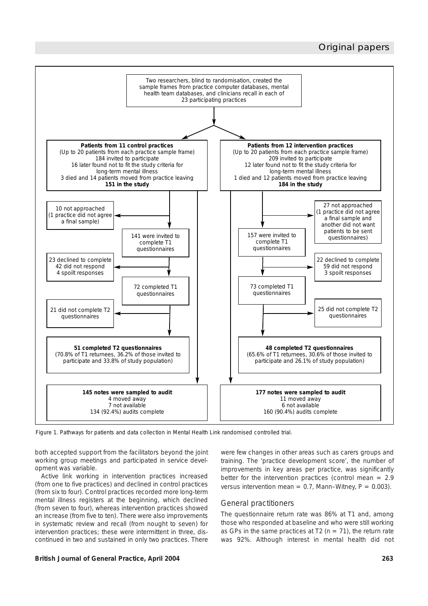# Original papers



*Figure 1. Pathways for patients and data collection in Mental Health Link randomised controlled trial.*

both accepted support from the facilitators beyond the joint working group meetings and participated in service development was variable.

Active link working in intervention practices increased (from one to five practices) and declined in control practices (from six to four). Control practices recorded more long-term mental illness registers at the beginning, which declined (from seven to four), whereas intervention practices showed an increase (from five to ten). There were also improvements in systematic review and recall (from nought to seven) for intervention practices; these were intermittent in three, discontinued in two and sustained in only two practices. There were few changes in other areas such as carers groups and training. The 'practice development score', the number of improvements in key areas per practice, was significantly better for the intervention practices (control mean  $= 2.9$ versus intervention mean =  $0.7$ , Mann–Witney,  $P = 0.003$ ).

# *General practitioners*

The questionnaire return rate was 86% at T1 and, among those who responded at baseline and who were still working as GPs in the same practices at T2 ( $n = 71$ ), the return rate was 92%. Although interest in mental health did not

#### **British Journal of General Practice, April 2004 263**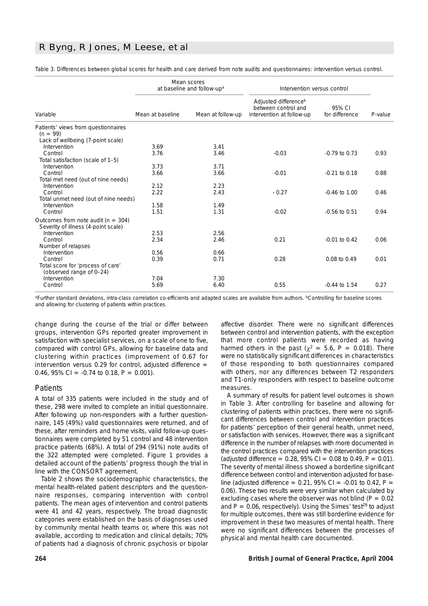# R Byng, R Jones, M Leese, *et al*

|                                        |                  | Mean scores<br>at baseline and follow-up <sup>a</sup> | Intervention versus control                                                          |                          |            |
|----------------------------------------|------------------|-------------------------------------------------------|--------------------------------------------------------------------------------------|--------------------------|------------|
| Variable                               | Mean at baseline | Mean at follow-up                                     | Adjusted difference <sup>b</sup><br>between control and<br>intervention at follow-up | 95% CI<br>for difference | $P$ -value |
| Patients' views from questionnaires    |                  |                                                       |                                                                                      |                          |            |
| $(n = 99)$                             |                  |                                                       |                                                                                      |                          |            |
| Lack of wellbeing (7-point scale)      |                  |                                                       |                                                                                      |                          |            |
| Intervention                           | 3.69             | 3.41                                                  |                                                                                      |                          |            |
| Control                                | 3.76             | 3.46                                                  | $-0.03$                                                                              | $-0.79$ to 0.73          | 0.93       |
| Total satisfaction (scale of 1-5)      |                  |                                                       |                                                                                      |                          |            |
| Intervention                           | 3.73             | 3.71                                                  |                                                                                      |                          |            |
| Control                                | 3.66             | 3.66                                                  | $-0.01$                                                                              | $-0.21$ to $0.18$        | 0.88       |
| Total met need (out of nine needs)     | 2.12             | 2.23                                                  |                                                                                      |                          |            |
| Intervention<br>Control                | 2.22             | 2.43                                                  | $-0.27$                                                                              | $-0.46$ to $1.00$        | 0.46       |
| Total unmet need (out of nine needs)   |                  |                                                       |                                                                                      |                          |            |
| Intervention                           | 1.58             | 1.49                                                  |                                                                                      |                          |            |
| Control                                | 1.51             | 1.31                                                  | $-0.02$                                                                              | $-0.56$ to 0.51          | 0.94       |
|                                        |                  |                                                       |                                                                                      |                          |            |
| Outcomes from note audit ( $n = 304$ ) |                  |                                                       |                                                                                      |                          |            |
| Severity of illness (4-point scale)    |                  |                                                       |                                                                                      |                          |            |
| Intervention                           | 2.53             | 2.56                                                  |                                                                                      |                          |            |
| Control                                | 2.34             | 2.46                                                  | 0.21                                                                                 | $-0.01$ to $0.42$        | 0.06       |
| Number of relapses                     |                  |                                                       |                                                                                      |                          |            |
| Intervention                           | 0.56             | 0.66                                                  |                                                                                      |                          |            |
| Control                                | 0.39             | 0.71                                                  | 0.28                                                                                 | 0.08 to 0.49             | 0.01       |
| Total score for 'process of care'      |                  |                                                       |                                                                                      |                          |            |
| (observed range of 0-24)               |                  |                                                       |                                                                                      |                          |            |
| Intervention                           | 7.04             | 7.30                                                  |                                                                                      |                          |            |
| Control                                | 5.69             | 6.40                                                  | 0.55                                                                                 | $-0.44$ to $1.54$        | 0.27       |

*Table 3. Differences between global scores for health and care derived from note audits and questionnaires: intervention versus control.* 

aFurther standard deviations, intra-class correlation co-efficients and adapted scales are available from authors. **bControlling for baseline scores** and allowing for clustering of patients within practices.

change during the course of the trial or differ between groups, intervention GPs reported greater improvement in satisfaction with specialist services, on a scale of one to five, compared with control GPs, allowing for baseline data and clustering within practices (improvement of 0.67 for intervention versus 0.29 for control, adjusted difference  $=$ 0.46, 95% CI =  $-0.74$  to 0.18,  $P = 0.001$ ).

### *Patients*

A total of 335 patients were included in the study and of these, 298 were invited to complete an initial questionnaire. After following up non-responders with a further questionnaire, 145 (49%) valid questionnaires were returned, and of these, after reminders and home visits, valid follow-up questionnaires were completed by 51 control and 48 intervention practice patients (68%). A total of 294 (91%) note audits of the 322 attempted were completed. Figure 1 provides a detailed account of the patients' progress though the trial in line with the CONSORT agreement.

Table 2 shows the sociodemographic characteristics, the mental health-related patient descriptors and the questionnaire responses, comparing intervention with control patients. The mean ages of intervention and control patients were 41 and 42 years, respectively. The broad diagnostic categories were established on the basis of diagnoses used by community mental health teams or, where this was not available, according to medication and clinical details; 70% of patients had a diagnosis of chronic psychosis or bipolar affective disorder. There were no significant differences between control and intervention patients, with the exception that more control patients were recorded as having harmed others in the past ( $\chi^2 = 5.6$ ,  $P = 0.018$ ). There were no statistically significant differences in characteristics of those responding to both questionnaires compared with others, nor any differences between T2 responders and T1-only responders with respect to baseline outcome measures.

A summary of results for patient level outcomes is shown in Table 3. After controlling for baseline and allowing for clustering of patients within practices, there were no significant differences between control and intervention practices for patients' perception of their general health, unmet need, or satisfaction with services. However, there was a significant difference in the number of relapses with more documented in the control practices compared with the intervention practices (adjusted difference =  $0.28$ ,  $95\%$  CI =  $0.08$  to  $0.49$ ,  $P = 0.01$ ). The severity of mental illness showed a borderline significant difference between control and intervention adjusted for baseline (adjusted difference =  $0.21$ , 95% CI =  $-0.01$  to 0.42,  $P =$ 0.06). These two results were very similar when calculated by excluding cases where the observer was not blind  $(P = 0.02)$ and  $P = 0.06$ , respectively). Using the Simes' test<sup>26</sup> to adjust for multiple outcomes, there was still borderline evidence for improvement in these two measures of mental health. There were no significant differences between the processes of physical and mental health care documented.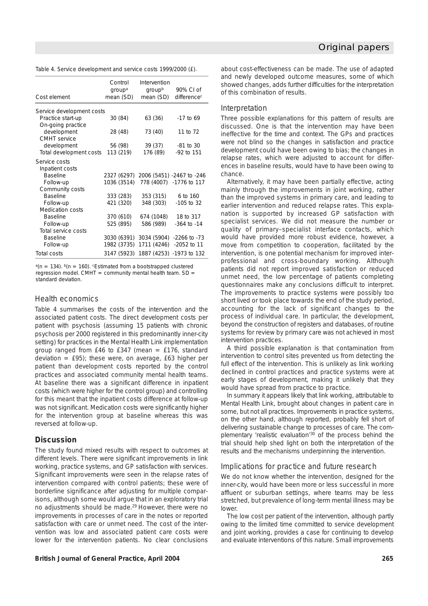| Table 4. Service development and service costs 1999/2000 (£). |  |  |  |  |  |
|---------------------------------------------------------------|--|--|--|--|--|
|---------------------------------------------------------------|--|--|--|--|--|

| Cost element              | Control<br>group <sup>a</sup><br>mean (SD) | Intervention<br>groupb<br>mean (SD)  | 90% CL of<br>difference <sup>c</sup>  |
|---------------------------|--------------------------------------------|--------------------------------------|---------------------------------------|
| Service development costs |                                            |                                      |                                       |
| Practice start-up         | 30(84)                                     | 63 (36)                              | $-17$ to 69                           |
| On-going practice         |                                            |                                      |                                       |
| development               | 28 (48)                                    | 73 (40)                              | 11 to 72                              |
| <b>CMHT</b> service       |                                            |                                      |                                       |
| development               | 56 (98)                                    | 39 (37)                              | $-81$ to 30                           |
| Total development costs   | 113 (219)                                  | 176 (89)                             | -92 to 151                            |
| Service costs             |                                            |                                      |                                       |
| Inpatient costs           |                                            |                                      |                                       |
| <b>Baseline</b>           |                                            |                                      | 2327 (6297) 2006 (5451) -2467 to -246 |
| Follow-up                 | 1036 (3514)                                |                                      | 778 (4007) -1776 to 117               |
| Community costs           |                                            |                                      |                                       |
| <b>Baseline</b>           | 333 (283)                                  | 353 (315)                            | 6 to 160                              |
| Follow-up                 | 421 (320)                                  | 348 (303)                            | -105 to 32                            |
| <b>Medication costs</b>   |                                            |                                      |                                       |
| <b>Baseline</b>           | 370 (610)                                  | 674 (1048)                           | 18 to 317                             |
| Follow-up                 | 525 (895)                                  | 586 (989)                            | $-364$ to $-14$                       |
| Total service costs       |                                            |                                      |                                       |
| <b>Baseline</b>           |                                            | 3030 (6391) 3034 (5904) -2266 to -73 |                                       |
| Follow-up                 | 1982 (3735)                                |                                      | 1711 (4246) -2052 to 11               |
| Total costs               |                                            | 3147 (5923) 1887 (4253) -1973 to 132 |                                       |

 $a(n = 134)$ .  $b(n = 160)$ . Estimated from a bootstrapped clustered regression model. CMHT = community mental health team.  $SD =$ standard deviation.

#### *Health economics*

Table 4 summarises the costs of the intervention and the associated patient costs. The direct development costs per patient with psychosis (assuming 15 patients with chronic psychosis per 2000 registered in this predominantly inner-city setting) for practices in the Mental Health Link implementation group ranged from £46 to £347 (mean = £176, standard deviation =  $£95$ ); these were, on average,  $£63$  higher per patient than development costs reported by the control practices and associated community mental health teams. At baseline there was a significant difference in inpatient costs (which were higher for the control group) and controlling for this meant that the inpatient costs difference at follow-up was not significant. Medication costs were significantly higher for the intervention group at baseline whereas this was reversed at follow-up.

#### **Discussion**

The study found mixed results with respect to outcomes at different levels. There were significant improvements in link working, practice systems, and GP satisfaction with services. Significant improvements were seen in the relapse rates of intervention compared with control patients; these were of borderline significance after adjusting for multiple comparisons, although some would argue that in an exploratory trial no adjustments should be made.29 However, there were no improvements in processes of care in the notes or reported satisfaction with care or unmet need. The cost of the intervention was low and associated patient care costs were lower for the intervention patients. No clear conclusions

## **British Journal of General Practice, April 2004 265**

about cost-effectiveness can be made. The use of adapted and newly developed outcome measures, some of which showed changes, adds further difficulties for the interpretation of this combination of results.

#### *Interpretation*

Three possible explanations for this pattern of results are discussed. One is that the intervention may have been ineffective for the time and context. The GPs and practices were not blind so the changes in satisfaction and practice development could have been owing to bias; the changes in relapse rates, which were adjusted to account for differences in baseline results, would have to have been owing to chance.

Alternatively, it may have been partially effective, acting mainly through the improvements in joint working, rather than the improved systems in primary care, and leading to earlier intervention and reduced relapse rates. This explanation is supported by increased GP satisfaction with specialist services. We did not measure the number or quality of primary–specialist interface contacts, which would have provided more robust evidence, however, a move from competition to cooperation, facilitated by the intervention, is one potential mechanism for improved interprofessional and cross-boundary working. Although patients did not report improved satisfaction or reduced unmet need, the low percentage of patients completing questionnaires make any conclusions difficult to interpret. The improvements to practice systems were possibly too short lived or took place towards the end of the study period, accounting for the lack of significant changes to the process of individual care. In particular, the development, beyond the construction of registers and databases, of routine systems for review by primary care was not achieved in most intervention practices.

A third possible explanation is that contamination from intervention to control sites prevented us from detecting the full effect of the intervention. This is unlikely as link working declined in control practices and practice systems were at early stages of development, making it unlikely that they would have spread from practice to practice.

In summary it appears likely that link working, attributable to Mental Health Link, brought about changes in patient care in some, but not all practices. Improvements in practice systems, on the other hand, although reported, probably fell short of delivering sustainable change to processes of care. The complementary 'realistic evaluation'<sup>30</sup> of the process behind the trial should help shed light on both the interpretation of the results and the mechanisms underpinning the intervention.

#### *Implications for practice and future research*

We do not know whether the intervention, designed for the inner-city, would have been more or less successful in more affluent or suburban settings, where teams may be less stretched, but prevalence of long-term mental illness may be lower.

The low cost per patient of the intervention, although partly owing to the limited time committed to service development and joint working, provides a case for continuing to develop and evaluate interventions of this nature. Small improvements